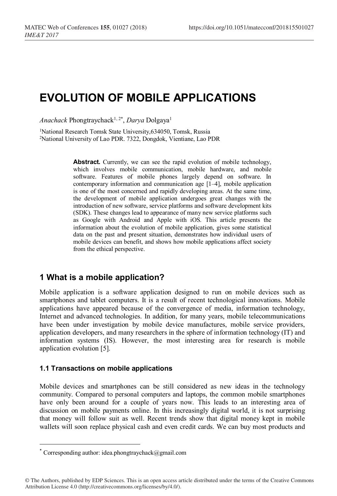# **EVOLUTION OF MOBILE APPLICATIONS**

*Anachack* Phongtraychack1, 2\* , *Darya* Dolgaya1

1 National Research Tomsk State University,634050, Tomsk, Russia 2 National University of Lao PDR. 7322, Dongdok, Vientiane, Lao PDR

> Abstract. Currently, we can see the rapid evolution of mobile technology, which involves mobile communication, mobile hardware, and mobile software. Features of mobile phones largely depend on software. In contemporary information and communication age [1–4], mobile application is one of the most concerned and rapidly developing areas. At the same time, the development of mobile application undergoes great changes with the introduction of new software, service platforms and software development kits (SDK). These changes lead to appearance of many new service platforms such as Google with Android and Apple with iOS. This article presents the information about the evolution of mobile application, gives some statistical data on the past and present situation, demonstrates how individual users of mobile devices can benefit, and shows how mobile applications affect society from the ethical perspective.

# **1 What is a mobile application?**

Mobile application is a software application designed to run on mobile devices such as smartphones and tablet computers. It is a result of recent technological innovations. Mobile applications have appeared because of the convergence of media, information technology, Internet and advanced technologies. In addition, for many years, mobile telecommunications have been under investigation by mobile device manufactures, mobile service providers, application developers, and many researchers in the sphere of information technology (IT) and information systems (IS). However, the most interesting area for research is mobile application evolution [5].

#### **1.1 Transactions on mobile applications**

Mobile devices and smartphones can be still considered as new ideas in the technology community. Compared to personal computers and laptops, the common mobile smartphones have only been around for a couple of years now. This leads to an interesting area of discussion on mobile payments online. In this increasingly digital world, it is not surprising that money will follow suit as well. Recent trends show that digital money kept in mobile wallets will soon replace physical cash and even credit cards. We can buy most products and

<sup>\*</sup> Corresponding author: idea.phongtraychack@gmail.com

<sup>©</sup> The Authors, published by EDP Sciences. This is an open access article distributed under the terms of the Creative Commons Attribution License 4.0 (http://creativecommons.org/licenses/by/4.0/).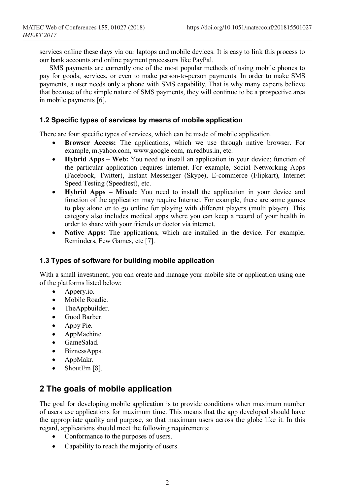services online these days via our laptops and mobile devices. It is easy to link this process to our bank accounts and online payment processors like PayPal.

SMS payments are currently one of the most popular methods of using mobile phones to pay for goods, services, or even to make person-to-person payments. In order to make SMS payments, a user needs only a phone with SMS capability. That is why many experts believe that because of the simple nature of SMS payments, they will continue to be a prospective area in mobile payments [6].

### **1.2 Specific types of services by means of mobile application**

There are four specific types of services, which can be made of mobile application.

- **Browser Access:** The applications, which we use through native browser. For example, m.yahoo.com, www.google.com, m.redbus.in, etc.
- **Hybrid Apps – Web:** You need to install an application in your device; function of the particular application requires Internet. For example, Social Networking Apps (Facebook, Twitter), Instant Messenger (Skype), E-commerce (Flipkart), Internet Speed Testing (Speedtest), etc.
- **Hybrid Apps – Mixed:** You need to install the application in your device and function of the application may require Internet. For example, there are some games to play alone or to go online for playing with different players (multi player). This category also includes medical apps where you can keep a record of your health in order to share with your friends or doctor via internet.
- **Native Apps:** The applications, which are installed in the device. For example, Reminders, Few Games, etc [7].

### **1.3 Types of software for building mobile application**

With a small investment, you can create and manage your mobile site or application using one of the platforms listed below:

- Appery.io.
- Mobile Roadie.
- TheAppbuilder.
- Good Barber.
- Appy Pie.
- AppMachine.
- GameSalad.
- BiznessApps.
- AppMakr.
- ShoutEm [8].

# **2 The goals of mobile application**

The goal for developing mobile application is to provide conditions when maximum number of users use applications for maximum time. This means that the app developed should have the appropriate quality and purpose, so that maximum users across the globe like it. In this regard, applications should meet the following requirements:

- Conformance to the purposes of users.
- Capability to reach the majority of users.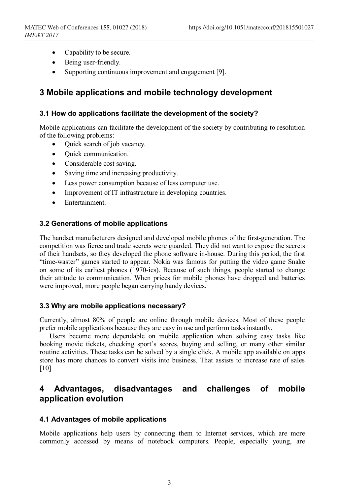- Capability to be secure.
- Being user-friendly.
- Supporting continuous improvement and engagement [9].

# **3 Mobile applications and mobile technology development**

### **3.1 How do applications facilitate the development of the society?**

Mobile applications can facilitate the development of the society by contributing to resolution of the following problems:

- Quick search of job vacancy.
- Ouick communication.
- Considerable cost saving.
- Saving time and increasing productivity.
- Less power consumption because of less computer use.
- Improvement of IT infrastructure in developing countries.
- Entertainment.

### **3.2 Generations of mobile applications**

The handset manufacturers designed and developed mobile phones of the first-generation. The competition was fierce and trade secrets were guarded. They did not want to expose the secrets of their handsets, so they developed the phone software in-house. During this period, the first "time-waster" games started to appear. Nokia was famous for putting the video game Snake on some of its earliest phones (1970-ies). Because of such things, people started to change their attitude to communication. When prices for mobile phones have dropped and batteries were improved, more people began carrying handy devices.

#### **3.3 Why are mobile applications necessary?**

Currently, almost 80% of people are online through mobile devices. Most of these people prefer mobile applications because they are easy in use and perform tasks instantly.

Users become more dependable on mobile application when solving easy tasks like booking movie tickets, checking sport's scores, buying and selling, or many other similar routine activities. These tasks can be solved by a single click. A mobile app available on apps store has more chances to convert visits into business. That assists to increase rate of sales [10].

# **4 Advantages, disadvantages and challenges of mobile application evolution**

### **4.1 Advantages of mobile applications**

Mobile applications help users by connecting them to Internet services, which are more commonly accessed by means of notebook computers. People, especially young, are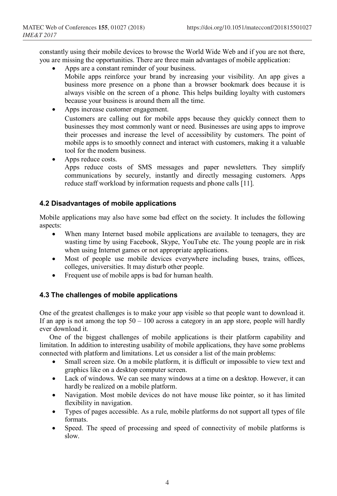constantly using their mobile devices to browse the World Wide Web and if you are not there, you are missing the opportunities. There are three main advantages of mobile application:

- Apps are a constant reminder of your business.
	- Mobile apps reinforce your brand by increasing your visibility. An app gives a business more presence on a phone than a browser bookmark does because it is always visible on the screen of a phone. This helps building loyalty with customers because your business is around them all the time.
- Apps increase customer engagement. Customers are calling out for mobile apps because they quickly connect them to businesses they most commonly want or need. Businesses are using apps to improve their processes and increase the level of accessibility by customers. The point of mobile apps is to smoothly connect and interact with customers, making it a valuable tool for the modern business.
- Apps reduce costs.

Apps reduce costs of SMS messages and paper newsletters. They simplify communications by securely, instantly and directly messaging customers. Apps reduce staff workload by information requests and phone calls [11].

### **4.2 Disadvantages of mobile applications**

Mobile applications may also have some bad effect on the society. It includes the following aspects:

- When many Internet based mobile applications are available to teenagers, they are wasting time by using Facebook, Skype, YouTube etc. The young people are in risk when using Internet games or not appropriate applications.
- Most of people use mobile devices everywhere including buses, trains, offices, colleges, universities. It may disturb other people.
- Frequent use of mobile apps is bad for human health.

### **4.3 The challenges of mobile applications**

One of the greatest challenges is to make your app visible so that people want to download it. If an app is not among the top  $50 - 100$  across a category in an app store, people will hardly ever download it.

One of the biggest challenges of mobile applications is their platform capability and limitation. In addition to interesting usability of mobile applications, they have some problems connected with platform and limitations. Let us consider a list of the main problems:

- Small screen size. On a mobile platform, it is difficult or impossible to view text and graphics like on a desktop computer screen.
- Lack of windows. We can see many windows at a time on a desktop. However, it can hardly be realized on a mobile platform.
- Navigation. Most mobile devices do not have mouse like pointer, so it has limited flexibility in navigation.
- Types of pages accessible. As a rule, mobile platforms do not support all types of file formats.
- Speed. The speed of processing and speed of connectivity of mobile platforms is slow.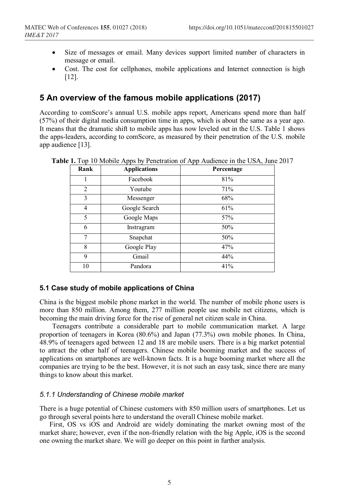- Size of messages or email. Many devices support limited number of characters in message or email.
- Cost. The cost for cellphones, mobile applications and Internet connection is high [12].

# **5 An overview of the famous mobile applications (2017)**

According to comScore's annual U.S. mobile apps report, Americans spend more than half (57%) of their digital media consumption time in apps, which is about the same as a year ago. It means that the dramatic shift to mobile apps has now leveled out in the U.S. Table 1 shows the apps-leaders, according to comScore, as measured by their penetration of the U.S. mobile app audience [13].

| 81%<br>Facebook<br>1<br>$\overline{2}$<br>71%<br>Youtube<br>3<br>68%<br>Messenger<br>61%<br>Google Search<br>4<br>5<br>Google Maps<br>57%<br>6<br>50%<br>Instragram<br>7<br>50%<br>Snapchat<br>8<br>Google Play<br>47%<br>9<br>44%<br>Gmail | Rank | <b>Applications</b> | Percentage |
|---------------------------------------------------------------------------------------------------------------------------------------------------------------------------------------------------------------------------------------------|------|---------------------|------------|
|                                                                                                                                                                                                                                             |      |                     |            |
|                                                                                                                                                                                                                                             |      |                     |            |
|                                                                                                                                                                                                                                             |      |                     |            |
|                                                                                                                                                                                                                                             |      |                     |            |
|                                                                                                                                                                                                                                             |      |                     |            |
|                                                                                                                                                                                                                                             |      |                     |            |
|                                                                                                                                                                                                                                             |      |                     |            |
|                                                                                                                                                                                                                                             |      |                     |            |
|                                                                                                                                                                                                                                             |      |                     |            |
|                                                                                                                                                                                                                                             | 10   | Pandora             | 41%        |

**Table 1.** Top 10 Mobile Apps by Penetration of App Audience in the USA, June 2017

### **5.1 Case study of mobile applications of China**

China is the biggest mobile phone market in the world. The number of mobile phone users is more than 850 million. Among them, 277 million people use mobile net citizens, which is becoming the main driving force for the rise of general net citizen scale in China.

Teenagers contribute a considerable part to mobile communication market. A large proportion of teenagers in Korea (80.6%) and Japan (77.3%) own mobile phones. In China, 48.9% of teenagers aged between 12 and 18 are mobile users. There is a big market potential to attract the other half of teenagers. Chinese mobile booming market and the success of applications on smartphones are well-known facts. It is a huge booming market where all the companies are trying to be the best. However, it is not such an easy task, since there are many things to know about this market.

### *5.1.1 Understanding of Chinese mobile market*

There is a huge potential of Chinese customers with 850 million users of smartphones. Let us go through several points here to understand the overall Chinese mobile market.

First, OS vs iOS and Android are widely dominating the market owning most of the market share; however, even if the non-friendly relation with the big Apple, iOS is the second one owning the market share. We will go deeper on this point in further analysis.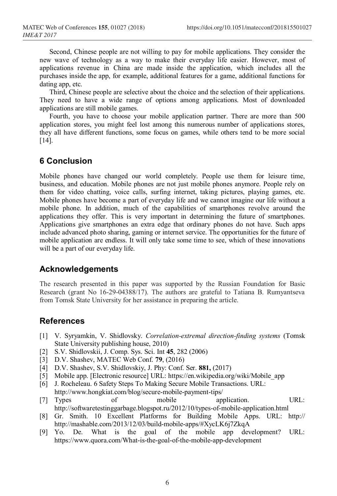Second, Chinese people are not willing to pay for mobile applications. They consider the new wave of technology as a way to make their everyday life easier. However, most of applications revenue in China are made inside the application, which includes all the purchases inside the app, for example, additional features for a game, additional functions for dating app, etc.

Third, Chinese people are selective about the choice and the selection of their applications. They need to have a wide range of options among applications. Most of downloaded applications are still mobile games.

Fourth, you have to choose your mobile application partner. There are more than 500 application stores, you might feel lost among this numerous number of applications stores, they all have different functions, some focus on games, while others tend to be more social [14].

### **6 Conclusion**

Mobile phones have changed our world completely. People use them for leisure time, business, and education. Mobile phones are not just mobile phones anymore. People rely on them for video chatting, voice calls, surfing internet, taking pictures, playing games, etc. Mobile phones have become a part of everyday life and we cannot imagine our life without a mobile phone. In addition, much of the capabilities of smartphones revolve around the applications they offer. This is very important in determining the future of smartphones. Applications give smartphones an extra edge that ordinary phones do not have. Such apps include advanced photo sharing, gaming or internet service. The opportunities for the future of mobile application are endless. It will only take some time to see, which of these innovations will be a part of our everyday life.

### **Acknowledgements**

The research presented in this paper was supported by the Russian Foundation for Basic Research (grant No 16-29-04388/17). The authors are grateful to Tatiana B. Rumyantseva from Tomsk State University for her assistance in preparing the article.

# **References**

- [1] V. Syryamkin, V. Shidlovsky. *Correlation-extremal direction-finding systems* (Tomsk State University publishing house, 2010)
- [2] S.V. Shidlovskii, J. Comp. Sys. Sci. Int **45**, 282 (2006)
- [3] D.V. Shashev, MATEC Web Conf. **79**, (2016)
- [4] D.V. Shashev, S.V. Shidlovskiy, J. Phy: Conf. Ser. **881,** (2017)
- [5] Mobile app. [Electronic resource] URL: https://en.wikipedia.org/wiki/Mobile\_app
- [6] J. Rocheleau. 6 Safety Steps To Making Secure Mobile Transactions. URL: http://www.hongkiat.com/blog/secure-mobile-payment-tips/
- [7] Types of mobile application. URL: http://softwaretestinggarbage.blogspot.ru/2012/10/types-of-mobile-application.html
- [8] Gr. Smith. 10 Excellent Platforms for Building Mobile Apps. URL: http:// http://mashable.com/2013/12/03/build-mobile-apps/#XycLK6j7ZkqA
- [9] Yo. De. What is the goal of the mobile app development? URL: https://www.quora.com/What-is-the-goal-of-the-mobile-app-development